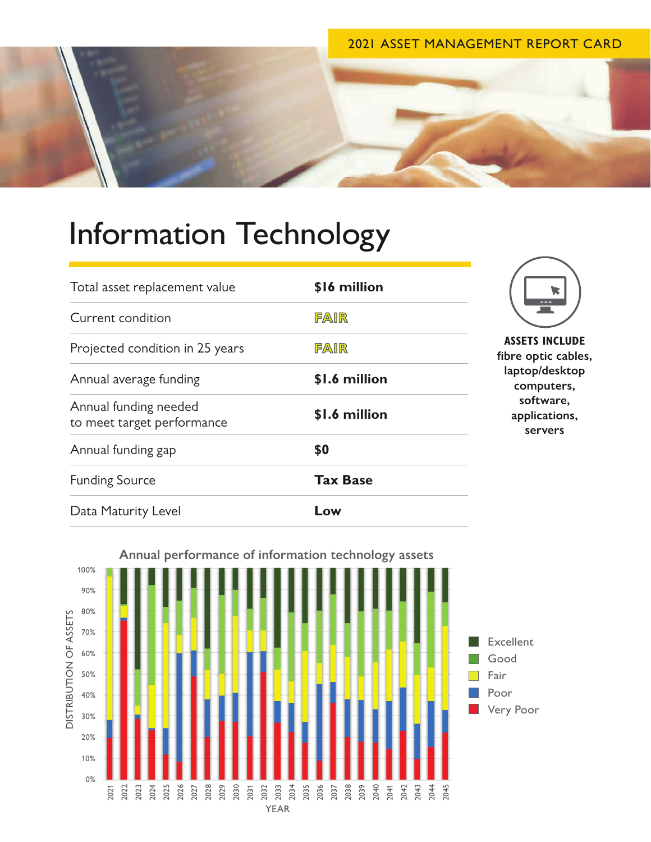## 2021 ASSET MANAGEMENT REPORT CARD



## Information Technology

| Total asset replacement value                       | \$16 million    | <b>ASSETS INCL</b><br>fibre optic ca<br>laptop/desk<br>computer<br>software<br>application<br>servers |
|-----------------------------------------------------|-----------------|-------------------------------------------------------------------------------------------------------|
| Current condition                                   | FAIR            |                                                                                                       |
| Projected condition in 25 years                     | FAIR            |                                                                                                       |
| Annual average funding                              | \$1.6 million   |                                                                                                       |
| Annual funding needed<br>to meet target performance | \$1.6 million   |                                                                                                       |
| Annual funding gap                                  | \$0             |                                                                                                       |
| <b>Funding Source</b>                               | <b>Tax Base</b> |                                                                                                       |
| Data Maturity Level                                 | Low             |                                                                                                       |